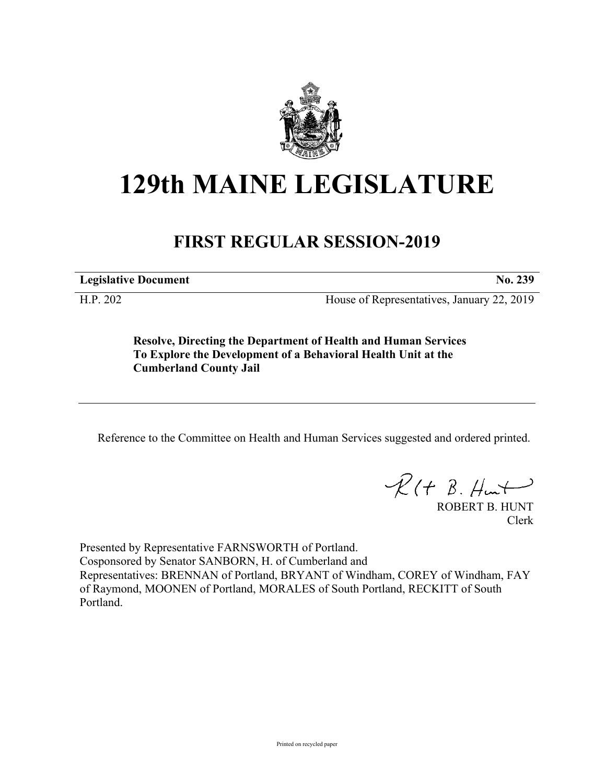

## **129th MAINE LEGISLATURE**

## **FIRST REGULAR SESSION-2019**

**Legislative Document No. 239**

H.P. 202 House of Representatives, January 22, 2019

**Resolve, Directing the Department of Health and Human Services To Explore the Development of a Behavioral Health Unit at the Cumberland County Jail**

Reference to the Committee on Health and Human Services suggested and ordered printed.

 $\mathcal{R}(t \; \mathcal{B}, \mathcal{H}_{\mathsf{int}})$ 

ROBERT B. HUNT Clerk

Presented by Representative FARNSWORTH of Portland. Cosponsored by Senator SANBORN, H. of Cumberland and Representatives: BRENNAN of Portland, BRYANT of Windham, COREY of Windham, FAY of Raymond, MOONEN of Portland, MORALES of South Portland, RECKITT of South Portland.